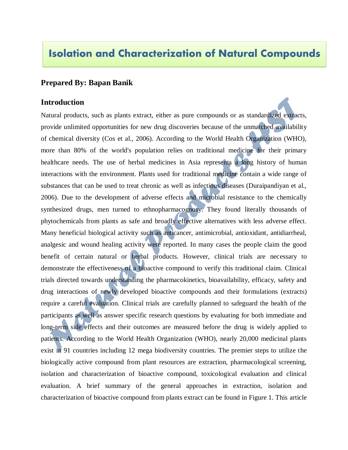# **Isolation and Characterization of Natural Compounds**

### **Prepared By: Bapan Banik**

### **Introduction**

Natural products, such as plants extract, either as pure compounds or as standardized extracts, provide unlimited opportunities for new drug discoveries because of the unmatched availability of chemical diversity (Cos et al., 2006). According to the World Health Organization (WHO), more than 80% of the world's population relies on traditional medicine for their primary healthcare needs. The use of herbal medicines in Asia represents a long history of human interactions with the environment. Plants used for traditional medicine contain a wide range of substances that can be used to treat chronic as well as infectious diseases (Duraipandiyan et al., 2006). Due to the development of adverse effects and microbial resistance to the chemically synthesized drugs, men turned to ethnopharmacognosy. They found literally thousands of phytochemicals from plants as safe and broadly effective alternatives with less adverse effect. Many beneficial biological activity such as anticancer, antimicrobial, antioxidant, antidiarrheal, analgesic and wound healing activity were reported. In many cases the people claim the good benefit of certain natural or herbal products. However, clinical trials are necessary to demonstrate the effectiveness of a bioactive compound to verify this traditional claim. Clinical trials directed towards understanding the pharmacokinetics, bioavailability, efficacy, safety and drug interactions of newly developed bioactive compounds and their formulations (extracts) require a careful evaluation. Clinical trials are carefully planned to safeguard the health of the participants as well as answer specific research questions by evaluating for both immediate and long-term side effects and their outcomes are measured before the drug is widely applied to patients. According to the World Health Organization (WHO), nearly 20,000 medicinal plants exist in 91 countries including 12 mega biodiversity countries. The premier steps to utilize the biologically active compound from plant resources are extraction, pharmacological screening, isolation and characterization of bioactive compound, toxicological evaluation and clinical evaluation. A brief summary of the general approaches in extraction, isolation and characterization of bioactive compound from plants extract can be found in Figure 1. This article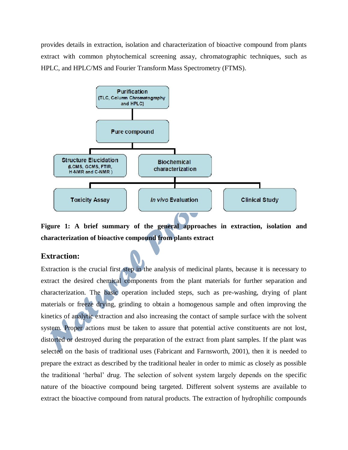provides details in extraction, isolation and characterization of bioactive compound from plants extract with common phytochemical screening assay, chromatographic techniques, such as HPLC, and HPLC/MS and Fourier Transform Mass Spectrometry (FTMS).



**Figure 1: A brief summary of the general approaches in extraction, isolation and characterization of bioactive compound from plants extract** 

### **Extraction:**

Extraction is the crucial first step in the analysis of medicinal plants, because it is necessary to extract the desired chemical components from the plant materials for further separation and characterization. The basic operation included steps, such as pre-washing, drying of plant materials or freeze drying, grinding to obtain a homogenous sample and often improving the kinetics of analytic extraction and also increasing the contact of sample surface with the solvent system. Proper actions must be taken to assure that potential active constituents are not lost, distorted or destroyed during the preparation of the extract from plant samples. If the plant was selected on the basis of traditional uses (Fabricant and Farnsworth, 2001), then it is needed to prepare the extract as described by the traditional healer in order to mimic as closely as possible the traditional 'herbal' drug. The selection of solvent system largely depends on the specific nature of the bioactive compound being targeted. Different solvent systems are available to extract the bioactive compound from natural products. The extraction of hydrophilic compounds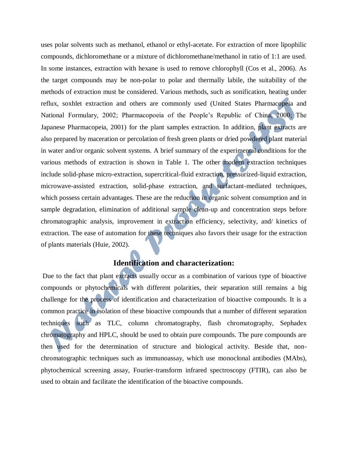uses polar solvents such as methanol, ethanol or ethyl-acetate. For extraction of more lipophilic compounds, dichloromethane or a mixture of dichloromethane/methanol in ratio of 1:1 are used. In some instances, extraction with hexane is used to remove chlorophyll (Cos et al., 2006). As the target compounds may be non-polar to polar and thermally labile, the suitability of the methods of extraction must be considered. Various methods, such as sonification, heating under reflux, soxhlet extraction and others are commonly used (United States Pharmacopeia and National Formulary, 2002; Pharmacopoeia of the People's Republic of China, 2000; The Japanese Pharmacopeia, 2001) for the plant samples extraction. In addition, plant extracts are also prepared by maceration or percolation of fresh green plants or dried powdered plant material in water and/or organic solvent systems. A brief summary of the experimental conditions for the various methods of extraction is shown in Table 1. The other modern extraction techniques include solid-phase micro-extraction, supercritical-fluid extraction, pressurized-liquid extraction, microwave-assisted extraction, solid-phase extraction, and surfactant-mediated techniques, which possess certain advantages. These are the reduction in organic solvent consumption and in sample degradation, elimination of additional sample clean-up and concentration steps before chromatographic analysis, improvement in extraction efficiency, selectivity, and/ kinetics of extraction. The ease of automation for these techniques also favors their usage for the extraction of plants materials (Huie, 2002).

### **Identification and characterization:**

Due to the fact that plant extracts usually occur as a combination of various type of bioactive compounds or phytochemicals with different polarities, their separation still remains a big challenge for the process of identification and characterization of bioactive compounds. It is a common practice in isolation of these bioactive compounds that a number of different separation techniques such as TLC, column chromatography, flash chromatography, Sephadex chromatography and HPLC, should be used to obtain pure compounds. The pure compounds are then used for the determination of structure and biological activity. Beside that, nonchromatographic techniques such as immunoassay, which use monoclonal antibodies (MAbs), phytochemical screening assay, Fourier-transform infrared spectroscopy (FTIR), can also be used to obtain and facilitate the identification of the bioactive compounds.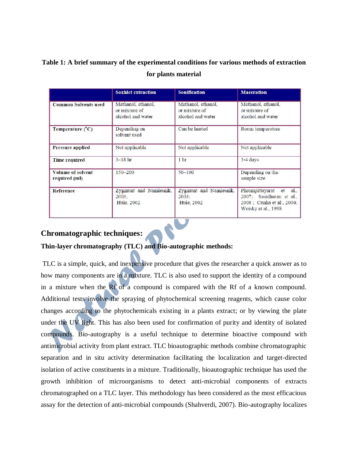## **Table 1: A brief summary of the experimental conditions for various methods of extraction for plants material**

|                                           | <b>Soxhlet extraction</b>                                | <b>Sonification</b>                                      | <b>Maceration</b>                                                                                        |
|-------------------------------------------|----------------------------------------------------------|----------------------------------------------------------|----------------------------------------------------------------------------------------------------------|
| <b>Common Solvents used</b>               | Methanol, ethanol,<br>or mixture of<br>alcohol and water | Methanol, ethanol,<br>or mixture of<br>alcohol and water | Methanol, ethanol,<br>or mixture of<br>alcohol and water                                                 |
| Temperature $(^{\circ}C)$                 | Depending on<br>solvent used                             | Can be heated                                            | Room temperature                                                                                         |
| <b>Pressure applied</b>                   | Not applicable                                           | Not applicable                                           | Not applicable                                                                                           |
| Time required                             | $3-18$ hr                                                | 1 <sup>hr</sup>                                          | $3-4$ days                                                                                               |
| <b>Volume of solvent</b><br>required (ml) | $150 - 200$                                              | $50 - 100$                                               | Depending on the<br>sample size                                                                          |
| Reference                                 | Zygmunt and Namiesnik,<br>2003:<br>Huie, 2002            | Zygmunt and Namiesnik,<br>2003:<br>Huie, 2002            | Phrompittayarat et al.,<br>2007; Sasidharan et al.,<br>2008 : Cunha et al., 2004:<br>Woisky et al., 1998 |

### **Chromatographic techniques:**

# **Thin-layer chromatography (TLC) and Bio-autographic methods:**

TLC is a simple, quick, and inexpensive procedure that gives the researcher a quick answer as to how many components are in a mixture. TLC is also used to support the identity of a compound in a mixture when the Rf of a compound is compared with the Rf of a known compound. Additional tests involve the spraying of phytochemical screening reagents, which cause color changes according to the phytochemicals existing in a plants extract; or by viewing the plate under the UV light. This has also been used for confirmation of purity and identity of isolated compounds. Bio-autography is a useful technique to determine bioactive compound with antimicrobial activity from plant extract. TLC bioautographic methods combine chromatographic separation and in situ activity determination facilitating the localization and target-directed isolation of active constituents in a mixture. Traditionally, bioautographic technique has used the growth inhibition of microorganisms to detect anti-microbial components of extracts chromatographed on a TLC layer. This methodology has been considered as the most efficacious assay for the detection of anti-microbial compounds (Shahverdi, 2007). Bio-autography localizes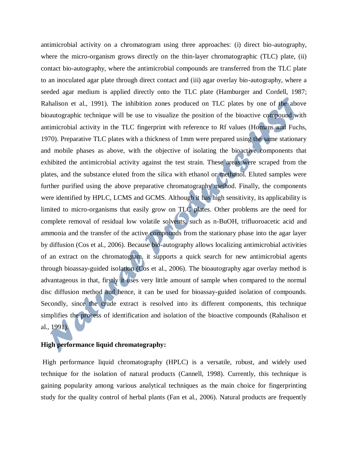antimicrobial activity on a chromatogram using three approaches: (i) direct bio-autography, where the micro-organism grows directly on the thin-layer chromatographic (TLC) plate, (ii) contact bio-autography, where the antimicrobial compounds are transferred from the TLC plate to an inoculated agar plate through direct contact and (iii) agar overlay bio-autography, where a seeded agar medium is applied directly onto the TLC plate (Hamburger and Cordell, 1987; Rahalison et al., 1991). The inhibition zones produced on TLC plates by one of the above bioautographic technique will be use to visualize the position of the bioactive compound with antimicrobial activity in the TLC fingerprint with reference to Rf values (Homans and Fuchs, 1970). Preparative TLC plates with a thickness of 1mm were prepared using the same stationary and mobile phases as above, with the objective of isolating the bioactive components that exhibited the antimicrobial activity against the test strain. These areas were scraped from the plates, and the substance eluted from the silica with ethanol or methanol. Eluted samples were further purified using the above preparative chromatography method. Finally, the components were identified by HPLC, LCMS and GCMS. Although it has high sensitivity, its applicability is limited to micro-organisms that easily grow on TLC plates. Other problems are the need for complete removal of residual low volatile solvents, such as n-BuOH, trifluoroacetic acid and ammonia and the transfer of the active compounds from the stationary phase into the agar layer by diffusion (Cos et al., 2006). Because bio-autography allows localizing antimicrobial activities of an extract on the chromatogram, it supports a quick search for new antimicrobial agents through bioassay-guided isolation (Cos et al., 2006). The bioautography agar overlay method is advantageous in that, firstly it uses very little amount of sample when compared to the normal disc diffusion method and hence, it can be used for bioassay-guided isolation of compounds. Secondly, since the crude extract is resolved into its different components, this technique simplifies the process of identification and isolation of the bioactive compounds (Rahalison et al., 1991).

### **High performance liquid chromatography:**

High performance liquid chromatography (HPLC) is a versatile, robust, and widely used technique for the isolation of natural products (Cannell, 1998). Currently, this technique is gaining popularity among various analytical techniques as the main choice for fingerprinting study for the quality control of herbal plants (Fan et al., 2006). Natural products are frequently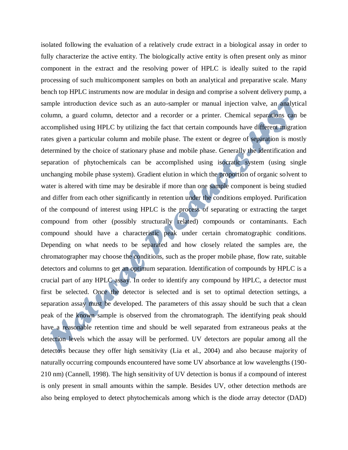isolated following the evaluation of a relatively crude extract in a biological assay in order to fully characterize the active entity. The biologically active entity is often present only as minor component in the extract and the resolving power of HPLC is ideally suited to the rapid processing of such multicomponent samples on both an analytical and preparative scale. Many bench top HPLC instruments now are modular in design and comprise a solvent delivery pump, a sample introduction device such as an auto-sampler or manual injection valve, an analytical column, a guard column, detector and a recorder or a printer. Chemical separations can be accomplished using HPLC by utilizing the fact that certain compounds have different migration rates given a particular column and mobile phase. The extent or degree of separation is mostly determined by the choice of stationary phase and mobile phase. Generally the identification and separation of phytochemicals can be accomplished using isocratic system (using single unchanging mobile phase system). Gradient elution in which the proportion of organic solvent to water is altered with time may be desirable if more than one sample component is being studied and differ from each other significantly in retention under the conditions employed. Purification of the compound of interest using HPLC is the process of separating or extracting the target compound from other (possibly structurally related) compounds or contaminants. Each compound should have a characteristic peak under certain chromatographic conditions. Depending on what needs to be separated and how closely related the samples are, the chromatographer may choose the conditions, such as the proper mobile phase, flow rate, suitable detectors and columns to get an optimum separation. Identification of compounds by HPLC is a crucial part of any HPLC assay. In order to identify any compound by HPLC, a detector must first be selected. Once the detector is selected and is set to optimal detection settings, a separation assay must be developed. The parameters of this assay should be such that a clean peak of the known sample is observed from the chromatograph. The identifying peak should have a reasonable retention time and should be well separated from extraneous peaks at the detection levels which the assay will be performed. UV detectors are popular among all the detectors because they offer high sensitivity (Lia et al., 2004) and also because majority of naturally occurring compounds encountered have some UV absorbance at low wavelengths (190- 210 nm) (Cannell, 1998). The high sensitivity of UV detection is bonus if a compound of interest is only present in small amounts within the sample. Besides UV, other detection methods are also being employed to detect phytochemicals among which is the diode array detector (DAD)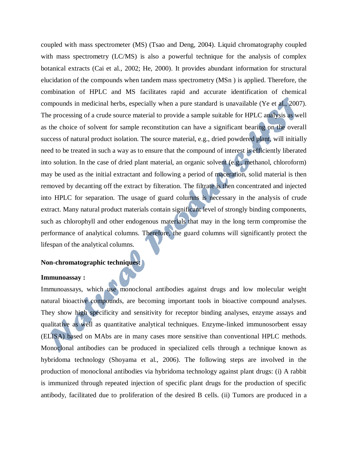coupled with mass spectrometer (MS) (Tsao and Deng, 2004). Liquid chromatography coupled with mass spectrometry (LC/MS) is also a powerful technique for the analysis of complex botanical extracts (Cai et al., 2002; He, 2000). It provides abundant information for structural elucidation of the compounds when tandem mass spectrometry (MSn ) is applied. Therefore, the combination of HPLC and MS facilitates rapid and accurate identification of chemical compounds in medicinal herbs, especially when a pure standard is unavailable (Ye et al., 2007). The processing of a crude source material to provide a sample suitable for HPLC analysis as well as the choice of solvent for sample reconstitution can have a significant bearing on the overall success of natural product isolation. The source material, e.g., dried powdered plant, will initially need to be treated in such a way as to ensure that the compound of interest is efficiently liberated into solution. In the case of dried plant material, an organic solvent (e.g., methanol, chloroform) may be used as the initial extractant and following a period of maceration, solid material is then removed by decanting off the extract by filteration. The filtrate is then concentrated and injected into HPLC for separation. The usage of guard columns is necessary in the analysis of crude extract. Many natural product materials contain significant level of strongly binding components, such as chlorophyll and other endogenous materials that may in the long term compromise the performance of analytical columns. Therefore, the guard columns will significantly protect the lifespan of the analytical columns.

### **Non-chromatographic techniques:**

#### **Immunoassay :**

Immunoassays, which use monoclonal antibodies against drugs and low molecular weight natural bioactive compounds, are becoming important tools in bioactive compound analyses. They show high specificity and sensitivity for receptor binding analyses, enzyme assays and qualitative as well as quantitative analytical techniques. Enzyme-linked immunosorbent essay (ELISA) based on MAbs are in many cases more sensitive than conventional HPLC methods. Monoclonal antibodies can be produced in specialized cells through a technique known as hybridoma technology (Shoyama et al., 2006). The following steps are involved in the production of monoclonal antibodies via hybridoma technology against plant drugs: (i) A rabbit is immunized through repeated injection of specific plant drugs for the production of specific antibody, facilitated due to proliferation of the desired B cells. (ii) Tumors are produced in a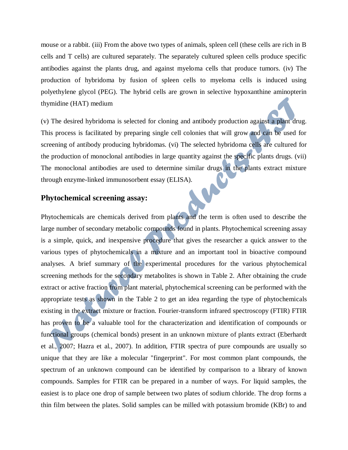mouse or a rabbit. (iii) From the above two types of animals, spleen cell (these cells are rich in B cells and T cells) are cultured separately. The separately cultured spleen cells produce specific antibodies against the plants drug, and against myeloma cells that produce tumors. (iv) The production of hybridoma by fusion of spleen cells to myeloma cells is induced using polyethylene glycol (PEG). The hybrid cells are grown in selective hypoxanthine aminopterin thymidine (HAT) medium

(v) The desired hybridoma is selected for cloning and antibody production against a plant drug. This process is facilitated by preparing single cell colonies that will grow and can be used for screening of antibody producing hybridomas. (vi) The selected hybridoma cells are cultured for the production of monoclonal antibodies in large quantity against the specific plants drugs. (vii) The monoclonal antibodies are used to determine similar drugs in the plants extract mixture through enzyme-linked immunosorbent essay (ELISA).

### **Phytochemical screening assay:**

Phytochemicals are chemicals derived from plants and the term is often used to describe the large number of secondary metabolic compounds found in plants. Phytochemical screening assay is a simple, quick, and inexpensive procedure that gives the researcher a quick answer to the various types of phytochemicals in a mixture and an important tool in bioactive compound analyses. A brief summary of the experimental procedures for the various phytochemical screening methods for the secondary metabolites is shown in Table 2. After obtaining the crude extract or active fraction from plant material, phytochemical screening can be performed with the appropriate tests as shown in the Table 2 to get an idea regarding the type of phytochemicals existing in the extract mixture or fraction. Fourier-transform infrared spectroscopy (FTIR) FTIR has proven to be a valuable tool for the characterization and identification of compounds or functional groups (chemical bonds) present in an unknown mixture of plants extract (Eberhardt et al., 2007; Hazra et al., 2007). In addition, FTIR spectra of pure compounds are usually so unique that they are like a molecular "fingerprint". For most common plant compounds, the spectrum of an unknown compound can be identified by comparison to a library of known compounds. Samples for FTIR can be prepared in a number of ways. For liquid samples, the easiest is to place one drop of sample between two plates of sodium chloride. The drop forms a thin film between the plates. Solid samples can be milled with potassium bromide (KBr) to and